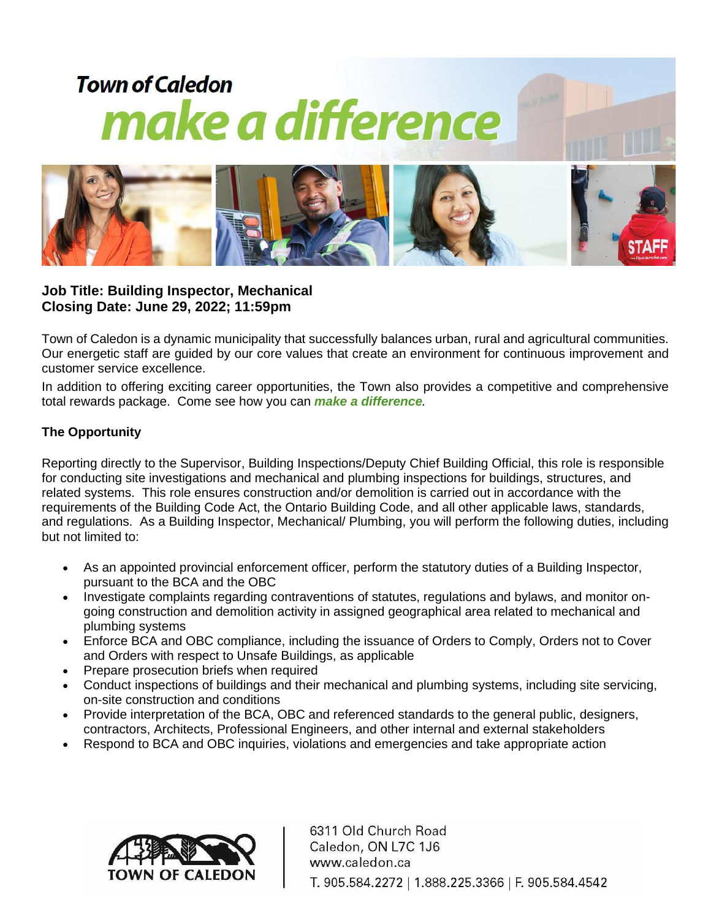

**Job Title: Building Inspector, Mechanical Closing Date: June 29, 2022; 11:59pm**

Town of Caledon is a dynamic municipality that successfully balances urban, rural and agricultural communities. Our energetic staff are guided by our core values that create an environment for continuous improvement and customer service excellence.

In addition to offering exciting career opportunities, the Town also provides a competitive and comprehensive total rewards package. Come see how you can *make a difference.*

## **The Opportunity**

Reporting directly to the Supervisor, Building Inspections/Deputy Chief Building Official, this role is responsible for conducting site investigations and mechanical and plumbing inspections for buildings, structures, and related systems. This role ensures construction and/or demolition is carried out in accordance with the requirements of the Building Code Act, the Ontario Building Code, and all other applicable laws, standards, and regulations. As a Building Inspector, Mechanical/ Plumbing, you will perform the following duties, including but not limited to:

- As an appointed provincial enforcement officer, perform the statutory duties of a Building Inspector, pursuant to the BCA and the OBC
- Investigate complaints regarding contraventions of statutes, regulations and bylaws, and monitor ongoing construction and demolition activity in assigned geographical area related to mechanical and plumbing systems
- Enforce BCA and OBC compliance, including the issuance of Orders to Comply, Orders not to Cover and Orders with respect to Unsafe Buildings, as applicable
- Prepare prosecution briefs when required
- Conduct inspections of buildings and their mechanical and plumbing systems, including site servicing, on-site construction and conditions
- Provide interpretation of the BCA, OBC and referenced standards to the general public, designers, contractors, Architects, Professional Engineers, and other internal and external stakeholders
- Respond to BCA and OBC inquiries, violations and emergencies and take appropriate action



6311 Old Church Road Caledon, ON L7C 1J6 www.caledon.ca T. 905.584.2272 | 1.888.225.3366 | F. 905.584.4542